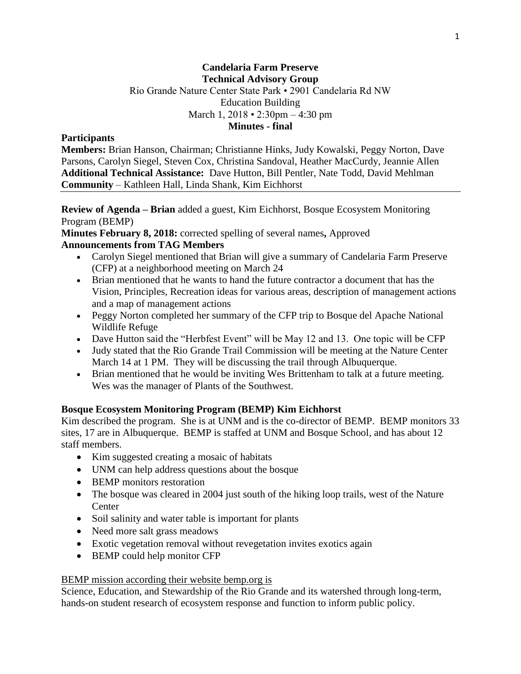#### **Candelaria Farm Preserve Technical Advisory Group** Rio Grande Nature Center State Park • 2901 Candelaria Rd NW

Education Building March 1, 2018 • 2:30pm – 4:30 pm **Minutes - final**

### **Participants**

**Members:** Brian Hanson, Chairman; Christianne Hinks, Judy Kowalski, Peggy Norton, Dave Parsons, Carolyn Siegel, Steven Cox, Christina Sandoval, Heather MacCurdy, Jeannie Allen **Additional Technical Assistance:** Dave Hutton, Bill Pentler, Nate Todd, David Mehlman **Community** – Kathleen Hall, Linda Shank, Kim Eichhorst

**Review of Agenda – Brian** added a guest, Kim Eichhorst, Bosque Ecosystem Monitoring Program (BEMP)

**Minutes February 8, 2018:** corrected spelling of several names**,** Approved

### **Announcements from TAG Members**

- Carolyn Siegel mentioned that Brian will give a summary of Candelaria Farm Preserve (CFP) at a neighborhood meeting on March 24
- Brian mentioned that he wants to hand the future contractor a document that has the Vision, Principles, Recreation ideas for various areas, description of management actions and a map of management actions
- Peggy Norton completed her summary of the CFP trip to Bosque del Apache National Wildlife Refuge
- Dave Hutton said the "Herbfest Event" will be May 12 and 13. One topic will be CFP
- Judy stated that the Rio Grande Trail Commission will be meeting at the Nature Center March 14 at 1 PM. They will be discussing the trail through Albuquerque.
- Brian mentioned that he would be inviting Wes Brittenham to talk at a future meeting. Wes was the manager of Plants of the Southwest.

### **Bosque Ecosystem Monitoring Program (BEMP) Kim Eichhorst**

Kim described the program. She is at UNM and is the co-director of BEMP. BEMP monitors 33 sites, 17 are in Albuquerque. BEMP is staffed at UNM and Bosque School, and has about 12 staff members.

- Kim suggested creating a mosaic of habitats
- UNM can help address questions about the bosque
- BEMP monitors restoration
- The bosque was cleared in 2004 just south of the hiking loop trails, west of the Nature **Center**
- Soil salinity and water table is important for plants
- Need more salt grass meadows
- Exotic vegetation removal without revegetation invites exotics again
- BEMP could help monitor CFP

### BEMP mission according their website bemp.org is

Science, Education, and Stewardship of the Rio Grande and its watershed through long-term, hands-on student research of ecosystem response and function to inform public policy.